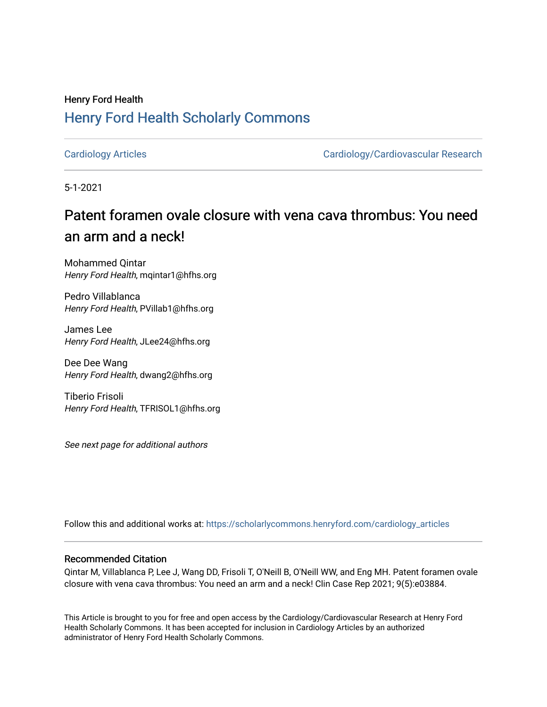# Henry Ford Health [Henry Ford Health Scholarly Commons](https://scholarlycommons.henryford.com/)

[Cardiology Articles](https://scholarlycommons.henryford.com/cardiology_articles) [Cardiology/Cardiovascular Research](https://scholarlycommons.henryford.com/cardiology) 

5-1-2021

# Patent foramen ovale closure with vena cava thrombus: You need an arm and a neck!

Mohammed Qintar Henry Ford Health, mqintar1@hfhs.org

Pedro Villablanca Henry Ford Health, PVillab1@hfhs.org

James Lee Henry Ford Health, JLee24@hfhs.org

Dee Dee Wang Henry Ford Health, dwang2@hfhs.org

Tiberio Frisoli Henry Ford Health, TFRISOL1@hfhs.org

See next page for additional authors

Follow this and additional works at: [https://scholarlycommons.henryford.com/cardiology\\_articles](https://scholarlycommons.henryford.com/cardiology_articles?utm_source=scholarlycommons.henryford.com%2Fcardiology_articles%2F759&utm_medium=PDF&utm_campaign=PDFCoverPages)

# Recommended Citation

Qintar M, Villablanca P, Lee J, Wang DD, Frisoli T, O'Neill B, O'Neill WW, and Eng MH. Patent foramen ovale closure with vena cava thrombus: You need an arm and a neck! Clin Case Rep 2021; 9(5):e03884.

This Article is brought to you for free and open access by the Cardiology/Cardiovascular Research at Henry Ford Health Scholarly Commons. It has been accepted for inclusion in Cardiology Articles by an authorized administrator of Henry Ford Health Scholarly Commons.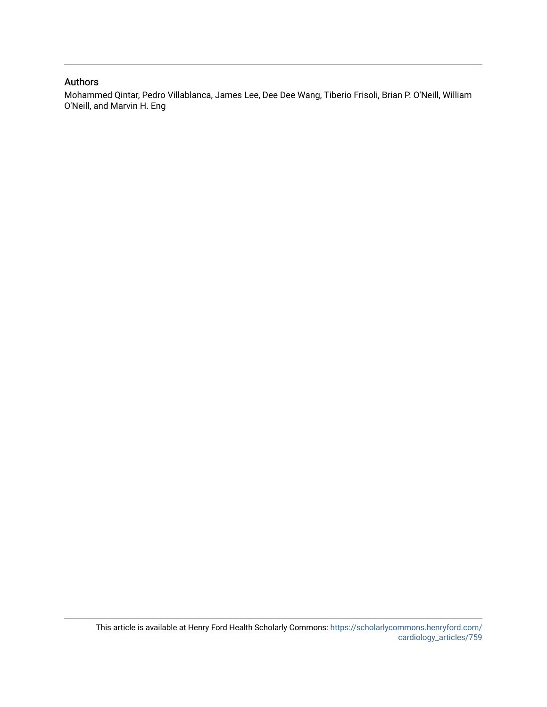# Authors

Mohammed Qintar, Pedro Villablanca, James Lee, Dee Dee Wang, Tiberio Frisoli, Brian P. O'Neill, William O'Neill, and Marvin H. Eng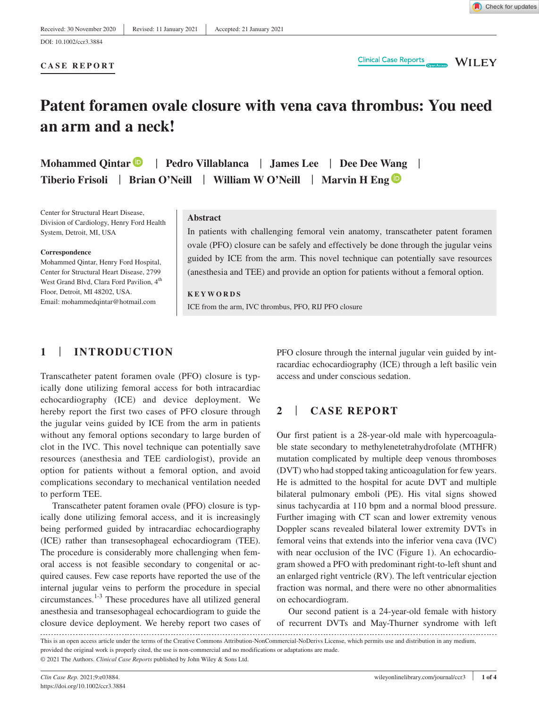**CASE REPORT**

DOI: 10.1002/ccr3.3884

**Clinical Case Reports** 

**WILEY** 

# **Patent foramen ovale closure with vena cava thrombus: You need an arm and a neck!**

**Mohammed Qintar** | **Pedro Villablanca** | **James Lee** | **Dee Dee Wang** | **Tiberio Frisoli** | **Brian O'Neill** | **William W O'Neill** | **Marvin H En[g](https://orcid.org/0000-0002-0334-6504)**

Center for Structural Heart Disease, Division of Cardiology, Henry Ford Health System, Detroit, MI, USA

#### **Correspondence**

Mohammed Qintar, Henry Ford Hospital, Center for Structural Heart Disease, 2799 West Grand Blvd, Clara Ford Pavilion, 4<sup>th</sup> Floor, Detroit, MI 48202, USA. Email: [mohammedqintar@hotmail.com](mailto:mohammedqintar@hotmail.com)

#### **Abstract**

In patients with challenging femoral vein anatomy, transcatheter patent foramen ovale (PFO) closure can be safely and effectively be done through the jugular veins guided by ICE from the arm. This novel technique can potentially save resources (anesthesia and TEE) and provide an option for patients without a femoral option.

**KEYWORDS**

ICE from the arm, IVC thrombus, PFO, RIJ PFO closure

# **1** | **INTRODUCTION**

Transcatheter patent foramen ovale (PFO) closure is typically done utilizing femoral access for both intracardiac echocardiography (ICE) and device deployment. We hereby report the first two cases of PFO closure through the jugular veins guided by ICE from the arm in patients without any femoral options secondary to large burden of clot in the IVC. This novel technique can potentially save resources (anesthesia and TEE cardiologist), provide an option for patients without a femoral option, and avoid complications secondary to mechanical ventilation needed to perform TEE.

Transcatheter patent foramen ovale (PFO) closure is typically done utilizing femoral access, and it is increasingly being performed guided by intracardiac echocardiography (ICE) rather than transesophageal echocardiogram (TEE). The procedure is considerably more challenging when femoral access is not feasible secondary to congenital or acquired causes. Few case reports have reported the use of the internal jugular veins to perform the procedure in special circumstances.1-3 These procedures have all utilized general anesthesia and transesophageal echocardiogram to guide the closure device deployment. We hereby report two cases of PFO closure through the internal jugular vein guided by intracardiac echocardiography (ICE) through a left basilic vein access and under conscious sedation.

## **2** | **CASE REPORT**

Our first patient is a 28-year-old male with hypercoagulable state secondary to methylenetetrahydrofolate (MTHFR) mutation complicated by multiple deep venous thromboses (DVT) who had stopped taking anticoagulation for few years. He is admitted to the hospital for acute DVT and multiple bilateral pulmonary emboli (PE). His vital signs showed sinus tachycardia at 110 bpm and a normal blood pressure. Further imaging with CT scan and lower extremity venous Doppler scans revealed bilateral lower extremity DVTs in femoral veins that extends into the inferior vena cava (IVC) with near occlusion of the IVC (Figure 1). An echocardiogram showed a PFO with predominant right-to-left shunt and an enlarged right ventricle (RV). The left ventricular ejection fraction was normal, and there were no other abnormalities on echocardiogram.

Our second patient is a 24-year-old female with history of recurrent DVTs and May-Thurner syndrome with left

This is an open access article under the terms of the [Creative Commons Attribution-NonCommercial-NoDerivs](http://creativecommons.org/licenses/by-nc-nd/4.0/) License, which permits use and distribution in any medium, provided the original work is properly cited, the use is non-commercial and no modifications or adaptations are made. © 2021 The Authors. *Clinical Case Reports* published by John Wiley & Sons Ltd.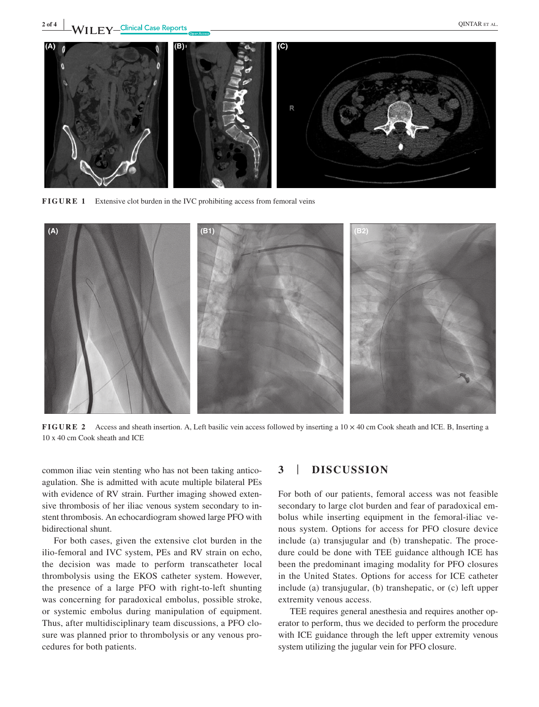

**FIGURE 1** Extensive clot burden in the IVC prohibiting access from femoral veins



**FIGURE 2** Access and sheath insertion. A, Left basilic vein access followed by inserting a  $10 \times 40$  cm Cook sheath and ICE. B, Inserting a 10 x 40 cm Cook sheath and ICE

common iliac vein stenting who has not been taking anticoagulation. She is admitted with acute multiple bilateral PEs with evidence of RV strain. Further imaging showed extensive thrombosis of her iliac venous system secondary to instent thrombosis. An echocardiogram showed large PFO with bidirectional shunt.

For both cases, given the extensive clot burden in the ilio-femoral and IVC system, PEs and RV strain on echo, the decision was made to perform transcatheter local thrombolysis using the EKOS catheter system. However, the presence of a large PFO with right-to-left shunting was concerning for paradoxical embolus, possible stroke, or systemic embolus during manipulation of equipment. Thus, after multidisciplinary team discussions, a PFO closure was planned prior to thrombolysis or any venous procedures for both patients.

#### **3** | **DISCUSSION**

For both of our patients, femoral access was not feasible secondary to large clot burden and fear of paradoxical embolus while inserting equipment in the femoral-iliac venous system. Options for access for PFO closure device include (a) transjugular and (b) transhepatic. The procedure could be done with TEE guidance although ICE has been the predominant imaging modality for PFO closures in the United States. Options for access for ICE catheter include (a) transjugular, (b) transhepatic, or (c) left upper extremity venous access.

TEE requires general anesthesia and requires another operator to perform, thus we decided to perform the procedure with ICE guidance through the left upper extremity venous system utilizing the jugular vein for PFO closure.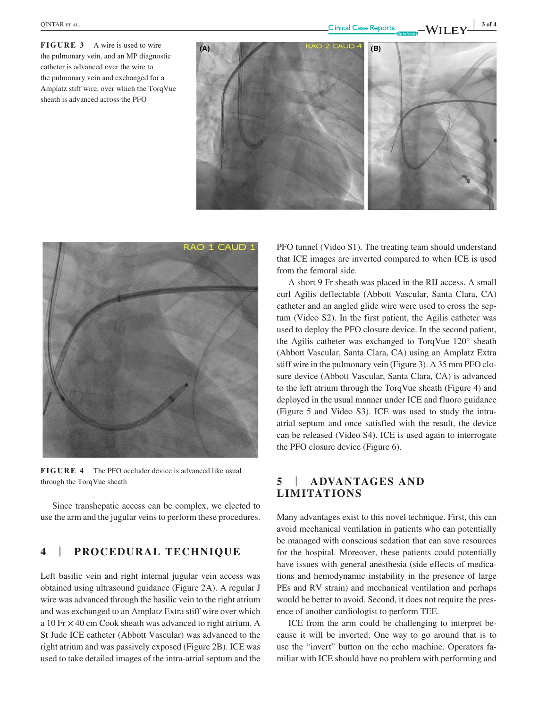**FIGURE 3** A wire is used to wire the pulmonary vein, and an MP diagnostic catheter is advanced over the wire to the pulmonary vein and exchanged for a Amplatz stiff wire, over which the TorqVue sheath is advanced across the PFO





**FIGURE 4** The PFO occluder device is advanced like usual through the TorqVue sheath

Since transhepatic access can be complex, we elected to use the arm and the jugular veins to perform these procedures.

## **4** | **PROCEDURAL TECHNIQUE**

Left basilic vein and right internal jugular vein access was obtained using ultrasound guidance (Figure 2A). A regular J wire was advanced through the basilic vein to the right atrium and was exchanged to an Amplatz Extra stiff wire over which a 10 Fr × 40 cm Cook sheath was advanced to right atrium. A St Jude ICE catheter (Abbott Vascular) was advanced to the right atrium and was passively exposed (Figure 2B). ICE was used to take detailed images of the intra-atrial septum and the

PFO tunnel (Video S1). The treating team should understand that ICE images are inverted compared to when ICE is used from the femoral side.

A short 9 Fr sheath was placed in the RIJ access. A small curl Agilis deflectable (Abbott Vascular, Santa Clara, CA) catheter and an angled glide wire were used to cross the septum (Video S2). In the first patient, the Agilis catheter was used to deploy the PFO closure device. In the second patient, the Agilis catheter was exchanged to TorqVue 120° sheath (Abbott Vascular, Santa Clara, CA) using an Amplatz Extra stiff wire in the pulmonary vein (Figure 3). A 35 mm PFO closure device (Abbott Vascular, Santa Clara, CA) is advanced to the left atrium through the TorqVue sheath (Figure 4) and deployed in the usual manner under ICE and fluoro guidance (Figure 5 and Video S3). ICE was used to study the intraatrial septum and once satisfied with the result, the device can be released (Video S4). ICE is used again to interrogate the PFO closure device (Figure 6).

# **5** | **ADVANTAGES AND LIMITATIONS**

Many advantages exist to this novel technique. First, this can avoid mechanical ventilation in patients who can potentially be managed with conscious sedation that can save resources for the hospital. Moreover, these patients could potentially have issues with general anesthesia (side effects of medications and hemodynamic instability in the presence of large PEs and RV strain) and mechanical ventilation and perhaps would be better to avoid. Second, it does not require the presence of another cardiologist to perform TEE.

ICE from the arm could be challenging to interpret because it will be inverted. One way to go around that is to use the "invert" button on the echo machine. Operators familiar with ICE should have no problem with performing and